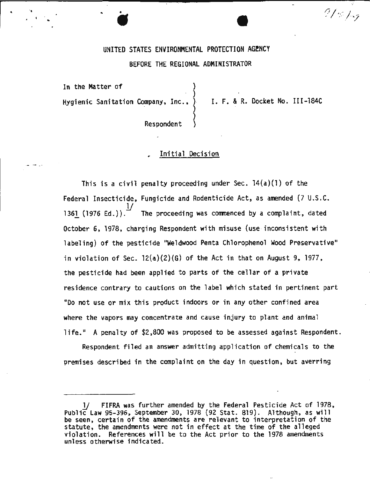## UNITED STATES ENVIRONMENTAL PROTECTION AGENCY

#### BEFORE THE REGIONAL ADMINISTRATOR

}

In the Matter of Hygienic Sanitation Company, Inc., )

., • *A* <sup>I</sup>..

I. F. & R. Docket No. III-184C

·;

 $21$  %  $1$  -7

Respondent

## Initial Decision

This is a civil penalty proceeding under Sec. 14(a)(l) of the Federal Insecticide, Fungicide and Rodenticide Act, as amended (7 U.S.C. 1361 (1976 Ed.)). The proceeding was commenced by a complaint, dated October 6, 1978, charging Respondent with misuse (use-inconsistent with labeling) of the pesticide "Weldwood Penta Chlorophenol Wood Preservative" in violation of Sec.  $12(a)(2)(6)$  of the Act in that on August 9, 1977, the pesticide had been applied to parts of the cellar of a private residence contrary to cautions on the label which stated in pertinent part "Do not use or mix this product indoors or in any other confined area where the vapors may concentrate and cause injury to plant and animal life." A penalty of \$2,800 was proposed to be assessed against Respondent.

Respondent filed an answer admitting application of chemicals to the premises described in the complaint on the day in question, but averring

FIFRA was further amended by the Federal Pesticide Act of 1978, Public Law 95-396, September 30, 1978 (92 Stat. 819). Although, as will be seen, certain of the amendments are relevant to interpretation of the statute, the amendments were not in effect at the time of the alleged violation. References will be to the Act prior to the 1978 amendments unless otherwise indicated.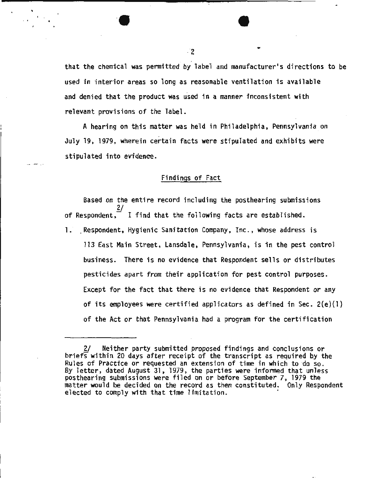2.<br>
that the chemical was permitted by label and manufacturer's directions to be used in interior areas so long as reasonable ventilation is available and denied that the product was used in a manner inconsistent with relevant provisions of the label.

A hearing on this matter was held in Philadelphia, Pennsylvania on July 19, 1979, wherein certain facts were stipulated and exhibits were stipulated into evidence.

## Findings of Fact

Based on the entire record including the posthearing submissions 2/ of Respondent,  $I$  ifind that the following facts are established.

1. Respondent, Hygienic Sanitation Company, Inc., whose address is 113 East Main Street, Lansdale, Pennsylvania, is in the pest control business. There is no evidence that Respondent sells or distributes pesticides apart from their application for pest control purposes. Except for the fact that there is no evidence that Respondent or any of its employees were certified applicators as defined in Sec.  $2(e)(1)$ of the Act or that Pennsylvania had a program for the certification

<sup>2/</sup> Neither party submitted proposed findings and conclusions or briefs within 20 days after receipt of the transcript as required by the Rules of Practice or requested an extension of time in which to do so. By letter, dated August 31, 1979, the parties were informed that unless posthearing submissions were filed on or before September 7, 1979 the matter would be decided on the record as then constituted. Only Respondent elected to comply with that time limitation.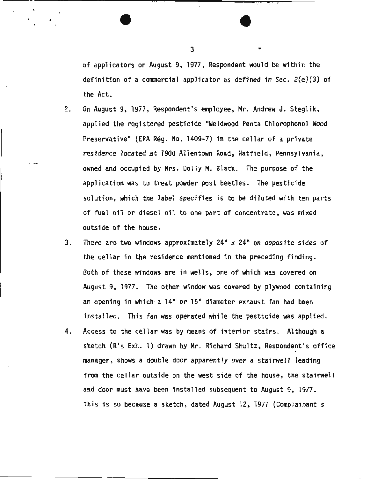of applicators on August 9, 1977, Respondent would be within the definition of a commercial applicator as defined in Sec. 2(e)(3) of the Act.

•

- 2. On August 9, 1977, Respondent's employee, Mr. Andrew J. Steglik, applied the registered pesticide "Weldwood Penta Chlorophenol Wood Preservative" (EPA Rég. No. 1409-7) in the cellar of a private residence located at 1900 Allentown Road, Hatfield, Pennsylvania, owned and occupied by Mrs. Dolly M. Black. The purpose of the application was to treat powder post beetles. The pesticide solution, which the label specifies is to be diluted with ten parts of fuel oil or diesel oil to one part of concentrate, was mixed outside of the house.
- 3. There are two windows approximately 24" x 24" on opposite sides of the cellar in the residence mentioned in the preceding finding. Both of these windows are in wells, one of which was covered on August 9, 1977. The other window was covered by plywood containing an opening in which· a 14" or 15" diameter exhaust fan had been installed. This fan was operated while the pesticide was applied.
- 4. Access to the cellar was by means of interior stairs. Although a sketch (R's Exh. 1) drawn by Mr. Richard Shultz, Respondent's office manager, shows a double door apparently over a stairwell leading from the cellar outside on the west side of the house, the stairwell and door must have been installed subsequent to August 9, 1977. This is so because a sketch, dated August 12, 1977 (Complainant's

 $3 \qquad \qquad$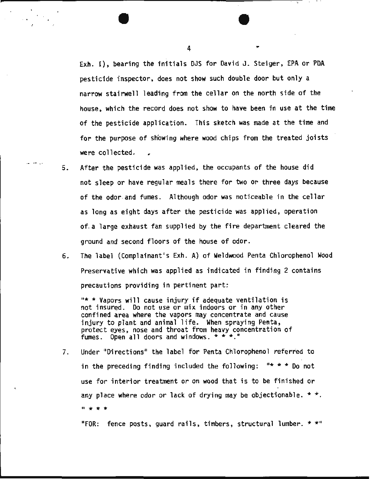Exh. I), bearing the initials DJS for David J. Steiger, EPA or PDA pesticide inspector, does not show such double door but only a narrow stairwell leading from the cellar on the north side of the house, which the record does not show to have been in use at the time of the pesticide application. This sketch was made at the time and for the purpose of showing where wood chips from the treated joists were collected.

' ·•·

5. After the pesticide was applied, the occupants of the house did not sleep or have regular meals there for two or three days because of the odor. and fumes. Although odor was noticeable in the cellar as long as eight days after the pesticide was applied, operation of. a large exhaust fan supplied by the fire department cleared the ground and second floors of the house of odor.

... - :. ..

6. The label (Complainant's Exh. A) of Weldwood Penta Chlorophenol Wood Preservative which was applied as indicated in finding 2 contains precautions providing in pertinent part:

 $"$  \* Vapors will cause injury if adequate ventilation is not insured. Do not use or mix indoors or in any other confined area where the vapors may concentrate and cause injury to plant and animal life. When spraying Penta, protect eyes, nose and throat from heavy concentration of fumes. Open all doors and windows.  $\star \star \star$ ."

7. Under "Directions" the label for Penta Chlorophenol referred to in the preceding finding included the following:  $" * *$  Do not use for interior treatment or on wood that is to be finished or any place where odor or lack of drying may be objectionable.  $*$ .  $\frac{1}{2}$  \* \*

"FOR: fence posts, guard rails, timbers, structural lumber. \* \*"

4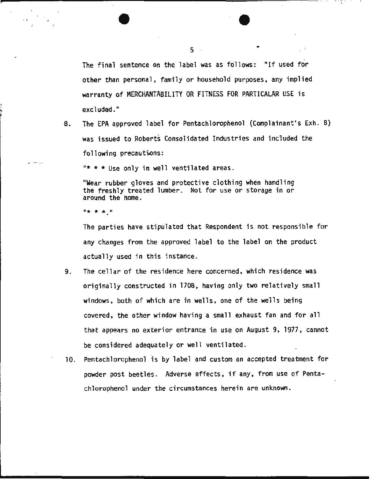The final sentence on the label was as follows: "If used for other than personal, family or household purposes, any implied warranty af MERCHANTABILITY OR FITNESS FOR PARTICALAR USE is excluded."

ب<br>י<del>ہ</del> ہ 8. The EPA approved label for Pentachlorophenol (Complainant's Exh. B) was issued to Roberts Consolidated Industries and included the following precautions:

 $** *$  Use only in well ventilated areas.

"Wear rubber gloves and protective clothing when handling the freshly treated lumber. Not for use or storage in or around the home.

 $\mathbb{R}^n \times \mathbb{R}^n \times \mathbb{R}^n$ 

 $\sim$   $\sim$ 

The parties have stipulated that Respondent is not responsible for any changes from the approved label to the label on the product actually used in this instance.

- 9. The cellar of the residence here concerned, which residence was originally constructed in 1708, having only two relatively small windows, both of which are in wells, one of the wells being covered, the other window having a small exhaust fan and for all that appears no exterior entrance in use on August 9, 1977, cannot be considered adequately or well ventilated.
- 10. Pentachlorophenol is by label and custom an accepted treatment for powder post beetles. Adverse effects, if any, from use of Pentachlorophenol under the circumstances herein are unknown.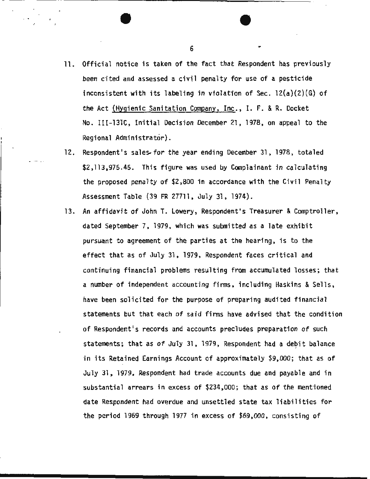11. Official notice is taken of the fact that Respondent has previously been cited and assessed a civil penalty for use of a pesticide inconsistent with its labeling in violation of Sec. 12(a)(2)(G) of the Act (Hygienic Sanitation Company, Inc., I. F. & R. Docket No. III-131C, Initial Decision December 21, 1978, on appeal to the Regional Administrator).

 $6 \qquad \qquad$ 

- 12. Respondent's sales for the year ending December 31, 1978, totaled \$2,113,975.45. This figure was used by Complainant in calculating the proposed penalty of \$2,800 in accordance with the Civil Penalty Assessment Table (39 FR 27711, July 31, 1974}.
- 13. An affidavit of John T. Lowery, Respondent's Treasurer & Comptroller, dated September 7, 1979, which was submitted as a late exhibit pursuant to agreement of the parties at the hearing, is to the effect that as of July 31, 1979, Respondent faces critical and continuing financial problems resulting from accumulated losses; that a number of independent accounting firms, including Haskins & Sells, have been solicited for the purpose of preparing audited financial statements but that each of said firms have advised that the condition of Respondent's records and accounts precludes preparation of such statements; that as of July 31, 1979, Respondent had a debit balance in its Retained Earnings Account of approximately \$9,000; that as of July 31, 1979, Respondent had trade accounts due and payable and in substantial arrears in excess of \$234,000; that as of the mentioned date Respondent had overdue and unsettled state tax liabilities for the period 1969 through 1977 in excess of \$69,000, consisting of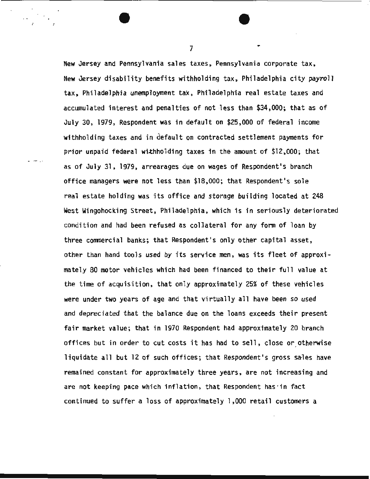New Jersey and Pennsylvania sales taxes, Pennsylvania corporate tax, New Jersey disability benefits withholding tax, Philadelphia city payroll tax, Philadelphia unemployment tax, Philadelphia real estate taxes and accumulated interest and penalties of not less than \$34,000; that as of July 30, 1979, Respondent was in default on \$25,000 of federal income withholding taxes and in default on contracted settlement payments for prior unpaid federal withholding taxes in the amount of \$12,000; that as of July 31, 1979, arrearages due on wages of Respondent's branch office managers were not less than \$18,000; that Respondent's sole real estate holding was its office and storage building located at 248 West Wingohocking Street, Philadelphia, which is in seriously deteriorated condition and had been refused as collateral for any form of loan by three commercial banks; that Respondent's only other capital asset, other than hand tools used by its service men, was its fleet of approximately 80 motor vehicles which had been financed to their full value at the time of acquisition, that only approximately 25% of these vehicles were under two years of age and that virtually all have been so used and depreciated that the balance due on the loans exceeds their present fair market value; that in 1970 Respondent had approximately 20 branch offices but in order to cut costs it has had to sell, close or otherwise liquidate all but 12 of such offices; that Respondent's gross sales have remained constant for approximately three years, are not increasing and are not keeping pace which inflation, that Respondent has ·in fact continued to suffer a loss of approximately 1,000 retail customers a

7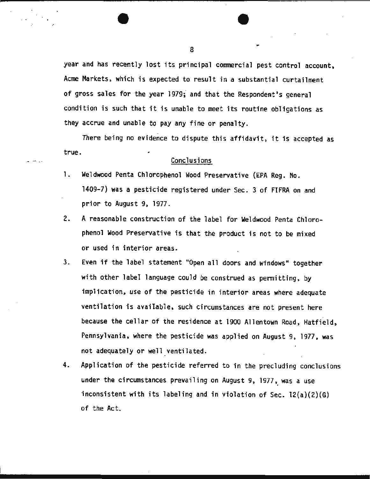year and has recently lost its principal commercial pest control account, Acme Markets, which is expected to result in a substantial curtailment of gross sales for the year 1979; and that the Respondent's general condition is such that it is unable to meet its routine obligations as they accrue and unable to pay any fine or penalty.

There being no evidence to dispute this affidavit, it is accepted as true.

## Conclusions

- 1. Weldwood Penta Chlorophenol Wood Preservative (EPA Reg. No. 1409-7) was a pesticide registered under Sec. 3 of FIFRA on and prior to August 9, 1977.
- 2. A reasonable construction of the label for Weldwood Penta Chlorophenol Wood Preservative is that the product is not to be mixed or used in interior areas.
- 3. Even if the label statement "Open all doors and windows" together with other label language could be construed as permitting, by implication, use of the pesticide in interior areas where adequate ventilation is available, such circumstances are not present here because the cellar of the residence at 1900 Allentown Road, Hatfield, Pennsylvania, where the pesticide was applied on August 9, 1977, was not adequately or well ventilated.
- 4. Application of the pesticide referred to in the precluding conclusions under the circumstances prevailing on August 9, 1977, was a use inconsistent with its labeling and in violation of Sec. 12(a)(2)(G) of the Act.

8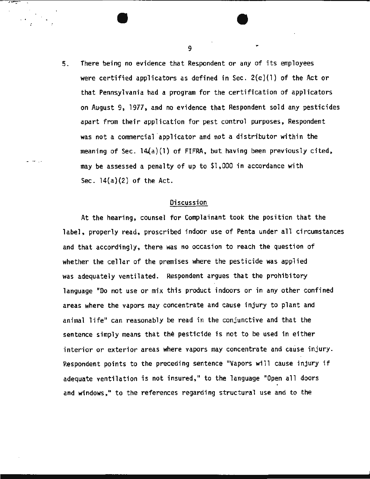5. There being no evidence that Respondent or any of its employees were certified applicators as defined in Sec.  $2(e)(1)$  of the Act or that Pennsylvania had a program for the certification of applicators on August 9, 1977, and no evidence that Respondent sold any pesticides apart from their application for pest control purposes, Respondent was not a commercial applicator and not a distributor within the meaning of Sec.  $14(a)(1)$  of FIFRA, but having been previously cited, may be assessed a penalty of up to \$1,000 in accordance with Sec.  $14(a)(2)$  of the Act.

#### Discussion

At the hearing, counsel for Complainant took the position that the label, properly read, proscribed indoor use of Penta under all circumstances and that accordingly, there was no occasion to reach the question of whether the cellar of the premises where the pesticide was applied was adequately ventilated. Respondent argues that the prohibitory language "Do not use or mix this product indoors or in any other confined areas where the vapors may concentrate and cause injury to plant and animal life" can reasonably be read in the conjunctive and that the sentence simply means that the pesticide is not to be used in either interior or exterior areas where vapors may concentrate and cause injury. Respondent points to the preceding sentence "Vapors will cause injury if adequate ventilation is not insured, " to the language "Open all doors and windows," to the references regarding structural use and to the

9  $\sim$   $\sim$   $\sim$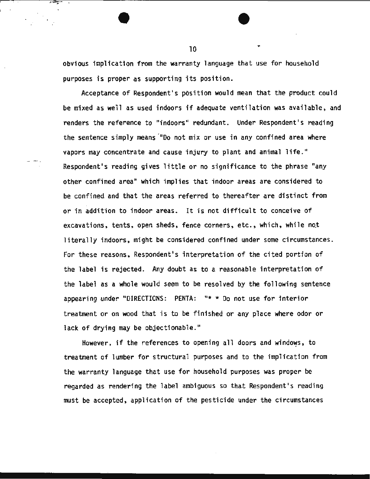obvious implication from the warranty language that use for household purposes is proper as supporting its position.

Acceptance of Respondent's position would mean that the product could be mixed as well as used indoors if adequate ventilation was available, and renders the reference to "indoors" redundant. Under Respondent's reading the sentence simply means "Do not mix or use in any confined area where vapors may concentrate and cause injury to plant and animal life." Respondent's reading gives little or no significance to the phrase "any other confined area" which implies that indoor areas are considered to be confined. and that the areas referred to thereafter are distinct from or in addition to indoor areas. It is not difficult to conceive of excavations, tents, open sheds, fence corners, etc., which, while not literally indoors, might be considered confined under some circumstances. For these reasons, Respondent's interpretation of the cited portion of the label is rejected. Any doubt as to a reasonable interpretation of the label as a whole would seem to be resolved by the following sentence appearing under "DIRECTIONS: PENTA: "\* \* Do not use for interior treatment or on wood that is to be finished or any place where odor or lack of drying may be objectionable."

However, if the references to opening all doors and windows, to treatment of lumber for structural purposes and to the implication from the warranty language that use for household purposes was proper be regarded as rendering the label ambiguous so that Respondent's reading must be accepted, application of the pesticide under the circumstances

10

 $\bullet$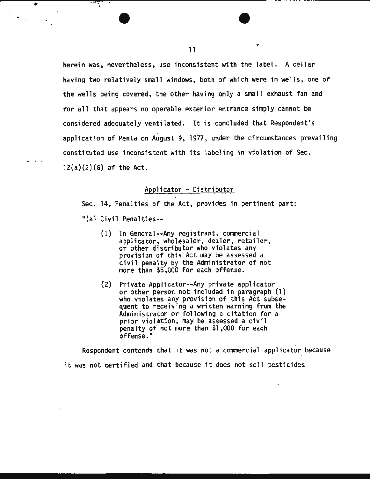herein was, nevertheless, use inconsistent with the label. A cellar having two relatively small windows, both of which were in wells, one of the wells being covered, the other having only a small exhaust fan and for all that appears no operable exterior entrance simply cannot be considered adequately ventilated. It is concluded that Respondent's application of Penta on August 9, 1977, under the circumstances prevailing constituted use inconsistent with its labeling in violation of Sec.  $12(a)(2)(6)$  of the Act.

#### Applicator - Distributor

Sec. 14, Penalties of the Act, provides in pertinent part:

"(a) Civil Penalties--

₹

- (1) In General--Any registrant, commercial applicator, wholesaler, dealer, retailer,<br>or other distributor who violates any provision of this Act may be assessed a civil penalty by the Administrator of not more than \$5,000 for each offense.
- (2) Private Applicator--Any private applicator or other person not included in paragraph (1) who violates any provision of this Act subsequent to receiving a written warning from the Administrator or following a citation for a prior violation, may be assessed a civil penalty of not more than \$1.000 for each offense."

Respondent contends that it was not a commercial applicator because it was not certified and that because it does not sell pesticides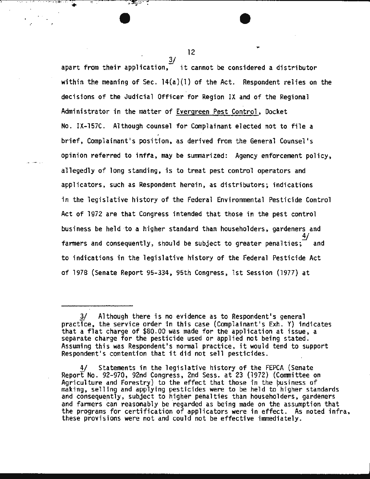$\frac{3}{2}$ apart from their application,  $\frac{37}{10}$  it cannot be considered a distributor within the meaning of Sec.  $14(a)(1)$  of the Act. Respondent relies on the decisions of the Judicial Officer for Region IX and of the Regional Administrator in the matter of Evergreen Pest Control, Docket No. IX-157C. Although counsel for Complainant elected not to file a brief, Complainant's position, as derived from the General Counsel's opinion referred to inffa, may be summarized: Agency enforcement policy, allegedly of long standing, is to treat pest control operators and applicators, such as Respondent herein, as distributors; indications in the legislative history of the Federal Environmental Pesticide Control Act of 1972 are that Congress intended that those in the pest control business be held ·to a higher standard than householders, gardeners and  $\frac{4}{\sqrt{2}}$ farmers and consequently, should be subject to greater penalties;  $\overline{\phantom{a}}$  and to indications in the legislative history of the Federal Pesticide Act of 1978 (Senate Report 95-334, 95th Congress, 1st Session (1977) at

12

.·

.. . -:-.... ·-· .. : ..... .  $\ddot{\bullet}$ 

Although there is no evidence as to Respondent's general practice, the service order in this case (Complainant's Exh. Y) indicates that a flat charge of \$80.00 was made for the application at issue, a separate charge for the pesticide used or applied not being stated. Assuming this was Respondent's normal practice, it would tend to support Respondent's contention that it did not sell pesticides.

Statements in the legislative history of the FEPCA (Senate Report No. 92-970, 92nd Congress, 2nd Sess. at 23 (1972) (Committee on Agriculture and Forestry) to the effect that those in the business of making, selling and applying pesticides were to be held to higher standards and consequently, subject to higher penalties than householders, gardeners and farmers can reasonably be regarded as being made on the assumption that the programs for certification of applicators were in effect. As noted infra, these provisions were not and could not be effective immediately.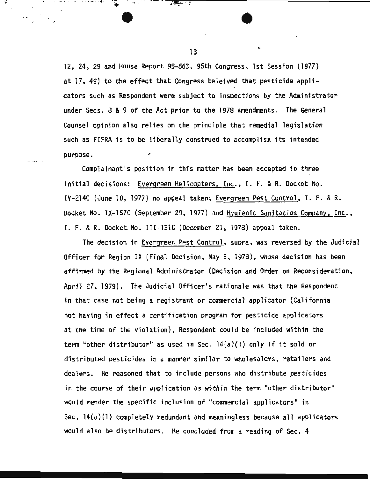12, 24, 29 and House Report 95-663, 95th Congress, 1st Session (1977) at 17, 49) to the effect that Congress beleived that pesticide applicators such as Respondent were subject to inspections by the Administrator under Sees. 8 & 9 of the Act prior to the 1978 amendments. The General Counsel opinion also relies on the principle that remedial legislation such as FIFRA is to be liberally construed to accomplish its intended purpose.

Complainant's position in this matter has been accepted in three initial decisions: Evergreen Helicopters, Inc., I. F. & R. Docket No. IV-214C (June 10, 1977) no appeal taken; Evergreen Pest Control, I. F. & R. Docket No. IX-157C (September 29, 1977) and Hygienic Sanitation Company, Inc., I. F. & R. Docket. No. III-131C (December 21, 1978) appeal taken.

The decision in Evergreen Pest Control, supra, was reversed by the Judicial Officer for Region IX (Final Decision, May 5, 1978), whose decision has been affirmed by the Regional Administrator (Decision and Order on Reconsideration, April 27, 1979). The Judicial Officer's rationale was that the Respondent in that case not being a registrant or commercial applicator (California not having in effect a certification program for pesticide applicators at the time of the violation), Respondent could be included within the term "other distributor" as used in Sec.  $14(a)(1)$  only if it sold or distributed pesticides in a manner similar to wholesalers, retailers and dealers. He reasoned that to include persons who distribute pesticides in the course of their application as within the term "other distributor" would render the specific inclusion of "commercial applicators" in Sec. 14(a)(l) completely redundant and meaningless because all applicators would also be distributors. He concluded from a reading of Sec. 4

13

. .. .. ~ ... ... . ~ ............ \_\_ ... : .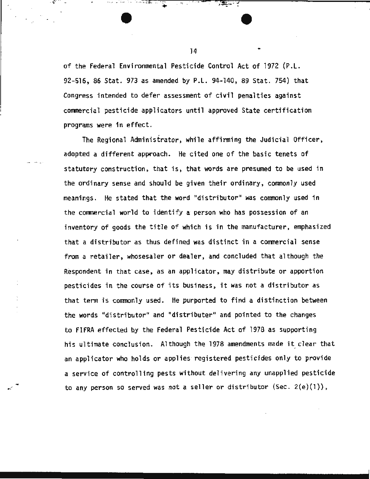of the Federal Environmental Pesticide Control Act of 1972 (P.L. 92-516, 86 Stat. 973 as amended by P.L. 94-140, 89 Stat. 754) that Congress intended to defer assessment of civil penalties against commercial pesticide applicators until approved State certification programs were 1n effect.

The Regional Administrator, while affirming the Judicial Officer, adopted a different approach. He cited one of the basic tenets of statutory construction, that is, that words are presumed to be used in the ordinary sense and should be given their ordinary, commonly used meanings. He stated that the word "distributor" was commonly used in the commercial world to identify a· person who has possession of an inventory of goods the title of which is in the manufacturer, emphasized that a distributor as thus defined was distinct in a commercial sense from a retailer, whosesaler or dealer, and concluded that although the Respondent in that case, as an applicator, may distribute or apportion pesticides in the course of its business, it was not a distributor as that term is commonly used. He purported to find a distinction between the words "distributor" and "distributer" and pointed to the changes to FIFRA effected by the Federal Pesticide Act of 1978 as supporting his ultimate conclusion. Although the 1978 amendments made it clear that an applicator who holds or applies registered pesticides only to provide a service of controlling pests without delivering any unapplied pesticide to any person so served was not a seller or distributor (Sec. 2(e)(l)),

 $14$   $\ddot{\phantom{1}}$ 

*· ·:-. .* .; ... · .. . -.-.. ~ .. \_ ... ;. -: ... -: ~ --·- <sup>~</sup>

 $\cdot$   $\cdot$   $\cdot$ 

.. .·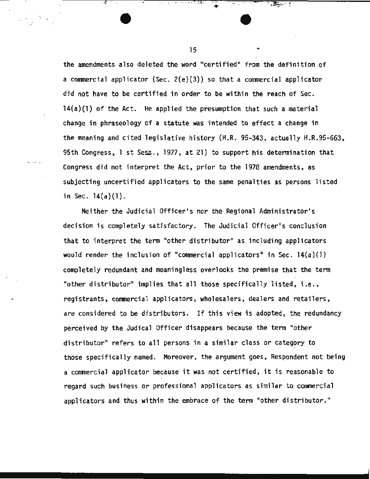the amendments also deleted the word "certified" from the definition of a commercial applicator (Sec. 2(e)(3}) so that a commercial applicator did not have to be certified in order to be within the reach of Sec. 14(a)(l) of the Act. He applied the presumption that such a material change in phraseology of a statute was intended to effect a change in the meaning and cited legislative history (H.R. 95-343, actually H.R.95-663, 95th Congress, 1 st. Sess., 1977, at 21) to support his determination that Congress did not interpret the Act, prior to the 1978 amendments, as subjecting uncertified applicators to the same penalties as persons listed in Sec.  $14(a)(1)$ .

-·- · .. .

Neither the Judicial Officer's nor the Regional Administrator's decision is completely satisfactory. The Judicial Officer's conclusion that to interpret the tenn "other distributor" as including applicators would render the inclusion of "commercial applicators" in Sec.  $14(a)(1)$ completely redundant and meaningless overlooks the premise that the term "other distributor" implies that all those specifically listed, i.e., registrants, commercial applicators, wholesalers, dealers and retailers, are considered to be distributors. If this view is adopted, the redundancy perceived by the Judical Officer disappears because the term "other distributor" refers to all persons in a similar class or category to those specifically named. Moreover, the argument goes, Respondent not being a commercial applicator because it was not certified, .it is reasonable to regard such business or professional applicators as similar to commercial applicators and thus within the embrace of the term "other distributor."

15

···· ·· -," .. ... -.... *:- .:* . .

..

39 - P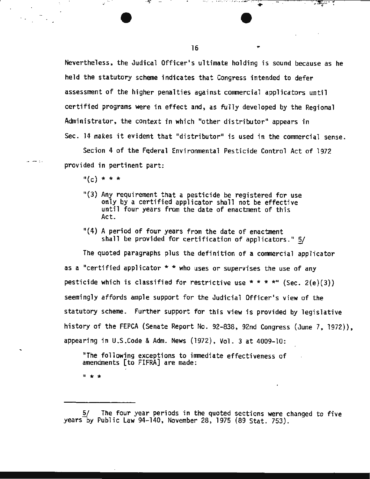Nevertheless, the Judical Officer's ultimate holding is sound because as he held the statutory scheme indicates that Congress intended to defer assessment of the higher penalties against commercial applicators until certified programs were in effect and, as fully developed by the Regional Administrator, the context in which "other distributor" appears in Sec. 14 makes it evident that "distributor" is used in the commercial sense.

..... . - ... , ;.. 9 : • •• • • ·.·. <sup>~</sup>. .. . .... \_--;,;,.::-· ,.,- • ..,...,.-- -:: ...------,-, . \_,......¥?:;..-=-,-;: ...------- .. . ~~ .. .

Secion 4 of the Federal Environmental Pesticide Control Act of 1972 provided in pertinent part:

 $n(c) * * * *$ 

·- -- ;..

 $\sim$   $\sim$ 

- $"$ (3) Any requirement that a pesticide be registered for use only by a certified applicator shall not be effective until four years from the date of enactment of this Act.
- $(4)$  A period of four years from the date of enactment shall be provided for certification of applicators."  $5/$

The quoted paragraphs plus the definition of a commercial applicator as a "certified applicator  $*$  \* who uses or supervises the use of any pesticide which is classified for restrictive use \* \* \* \*" (Sec. 2(e)(3)) seemingly affords ample support for the Judicial Officer's view of the statutory scheme. Further support for this view is provided by legislative history of the FEPCA (Senate Report No. 92-838, 92nd Congress (June 7, 1972)), appearing in U.S.Code & Adm. News (1972), Vol. 3 at 4009-10:

"The following exceptions to immediate effectiveness of amendments [to FIFRA] are made:

 $1 + x +$ 

16

<sup>5/</sup> The four year periods in the quoted sections were changed to five years-by Public law 94-140, November 28, 1975 (89 Stat. 753).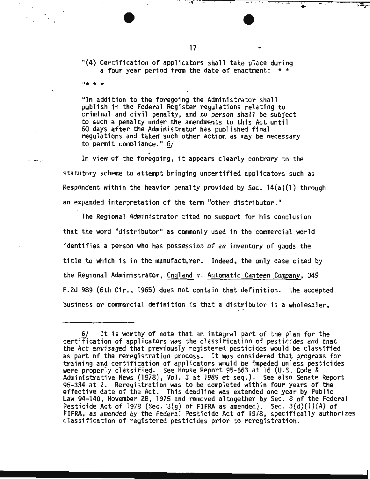···~ - · ·-. -· . -·· ·--- ·

 $\ddot{\bullet}$ 

·· ;,~··

"(4) Certification of applicators shall take place during a four year period from the date of enactment:  $*$ 

"In addition to the foregoing the Administrator shall publish in the Federal Register regulations relating to criminal and civil penalty, and no person shall be subject to such a penalty under the amendments to this Act until 60 days after the Administrator has published final regulations and taken such other action as may be necessary to pennit compliance." 6/

,

In view of the foregoing, it appears clearly contrary to the statutory scheme to attempt bringing uncertified applicators such as Respondent within the heavier penalty provided by Sec.  $14(a)(1)$  through an expanded interpretation of the term "other distributor."

The Regional Administrator cited no support for his conclusion that the word "distributor" as conrnonly used in the conmercial world identifies a person who has possession of an inventory of goods the title to which is in the manufacturer. Indeed, the only case cited by the Regional Administrator, England v. Automatic Canteen Company, 349 F.2d 989 (6th Cir., 1965) does not contain that definition. The accepted business or commercial definition is that a distributor is a wholesaler,

 $0 + x + x$ 

<sup>6/</sup> It is worthy of note that an integral part of the plan for the certification of applicators was the classification of pesticides and that the Act envisaged that previously registered pesticides wou ld be classified as part of the reregistration process. It was considered that programs for training and certification of applicators would be impeded unless pesticides were properly classified. See House Report 95-663 at 16 (U.S. Code & Administrative News (1978), Vol. 3 at 1989 et seq.) . See also Senate Report 95-334 at 2. Reregistration was to be completed within four years of the 95-334 at 2. Reregistration was to be completed within four years of the<br>effective date of the Act. This deadline was extended one year by Public Law 94-140, November 28, 1975 and removed altogether by Sec. 8 of the Federal Pesticide Act of 1978 (Sec. 3(g) of FIFRA as amended). Sec. 3(d)(1)(A) of FIFRA, as amended by the Federal Pesticide Act of 1978, specifically authorizes classification of registered pesticides prior to reregistration.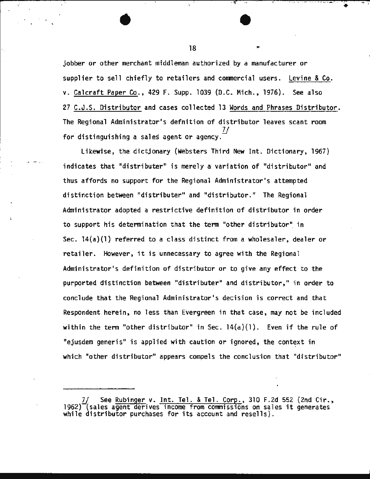jobber or other merchant middleman authorized by a manufacturer or supplier to sell chiefly to retailers and commercial users. Levine & Co. v. Calcraft Paper Co., 429 F. Supp. 1039 (D.C. Mich., 1976). See also 27 C.J.S. Distributor and cases collected 13 Words and Phrases Distributor. The Regional Administrator's defnition of distributor leaves scant room for distinguishing a sales agent or agency.  $\overline{U}$ 

·- ·-· .;..

Likewise, the dictjonary (Websters Third New Int. Dictionary, 1967) indicates that "distributer" is merely a variation of "distributor" and thus affords no support for the Regional Administrator's attempted distinction between "distributer" and "distributor." The Regional Administrator adopted a restrictive definition of distributor in order to support his determination that the term "other distributor"- in Sec.  $14(a)(1)$  referred to a class distinct from a wholesaler, dealer or retailer. However, it is unnecessary to agree with the Regional Administrator's definition of distributor or to give any effect to the purported distinction between "distributer" and distributor," in order to conclude that the Regional Administrator's decision is correct and that Respondent herein, no less than Evergreen in that case, may not be included within the term "other distributor" in Sec.  $14(a)(1)$ . Even if the rule of "ejusdem generis" is applied with caution or ignored, the context in which "other distributor" appears compels the conclusion that "distributor"

18

 $\ddot{}$ 

<sup>7/</sup> See Rubinger v. Int. Tel. & Tel. Corp., 310 F.2d 552 (2nd Cir., 1962) (sales agent derives income from commissions on sales it generates while distributor purchases for its account and resells).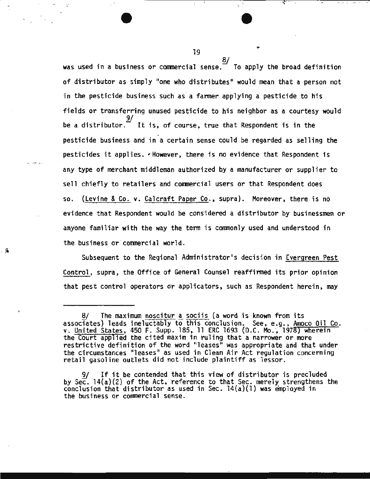*§1*  was used in a business or commercial sense. To apply the broad definition of distributor as simply "one who distributes" would mean that a person not in the pesticide business such as a farmer applying a pesticide to his fields or transferring unused pesticide to his neighbor as a courtesy would 9/ be a distributor. $\vec{\hspace{0em}}$  It is, of course, true that Respondent is in the<br>pesticide business and in a certain sense could be regarded as selling the pesticides it applies.  $\cdot$  However, there is no evidence that Respondent is any type of merchant middleman authorized by a manufacturer or supplier to sell chiefly to retailers and commercial users or that Respondent does so. (Levine & Co. v. Calcraft Paper Co., supra). Moreover, there is no evidence that Respondent would be considered a distributor by businessmen or anyone familiar with the way the term is commonly used and understood in the business or commercial world.

... ·-· :,. .

·;

Subsequent to the Regional Administrator's decision in Evergreen Pest Control, supra, the Office of General Counsel reaffirmed its prior opinion that pest control operators or applicators, such as Respondent herein, may

19  $\overline{a}$ 

The maximum noscitur a sociis (a word is known from its associates) leads ineluctably to this conclusion. See, e.g., Amoco Oil Co. v. United States, 450 F. Supp. 185, 11 ERC 1693 (D.C. Mo., 1978) wherein the Court applied the cited maxim in ruling that a narrower or more restrictive definition of the word "leases" was appropriate and that under the circumstances "leases" as used in Clean Air Act regulation concerning retail gasoline outlets did not include plaintiff as lessor.

 $9f$  If it be contended that this view of distributor is precluded by Sec. 14(a)(2) of the Act, reference to that Sec. merely strengthens the conclusion that distributor as used in Sec. l4(a)(l) was employed in the business or commercial sense.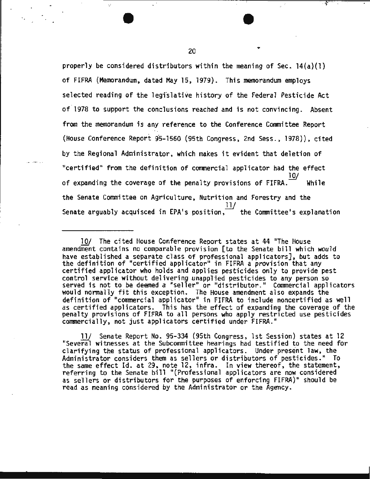properly be considered distributors within the meaning of Sec.  $14(a)(1)$ of FIFRA (Memorandum. dated May 15, 1979). This memorandum employs selected reading of the legfslative history of the Federal Pesticide Act of.1978 to support the conclusions reached and is not convincing. Absent from the memorandum is any reference to the Conference Committee Report (House Conference Report 95-1560 (95th Congress, 2nd Sess., 1978)), cited by the Regional Administrator. which makes it evident that deletion of "certified" from the definition of commercial applicator had the effect 10/ of expanding the coverage of the penalty provisions of  $FIFRA.$  While the Senate Committee on Agriculture, Nutrition and Forestry and the Senate arguably acquisced in EPA's position,  $\tilde{l}$  the Committee's explanation

11/ Senate Report No. 95-334 (95th Congress, 1st Session) states at 12 "Several witnesses at the Subcommittee hearings had testified to the need for clarifying the status of professional applicators. Under present law, the Administrator considers them as sellers or distributors of pesticides." To the same effect Id. at 29, note 12, infra. In view thereof, the statement, referring to the Senate bill "(Professional applicators are now considered as sellers or distributors for the purposes of enforcing FIFRA)" should be read as meaning considered by the Administrator or the Agency.

....

<sup>10/</sup> The cited House Conference Report states at 44 "The House amendment contains no comparable provision [to the Senate bill which would have established a separate class of professional applicators], but adds to<br>the definition of "certified applicator" in FIFRA a provision that any certified applicator who holds and applies pesticides only to provide pest control service without delivering unapplied pesticides to any person so served is not to be deemed a "seller" or "distributor." Commercial applicators would normally fit this exception. The House amendment also expands the definition of "commercial applicator" in FIFRA to include noncertified as well as certified applicators. This has the effect of expanding the coverage of the penalty provisions of FIFRA to all persons who apply restricted use pesticides commercially, not just applicators certified under FIFRA."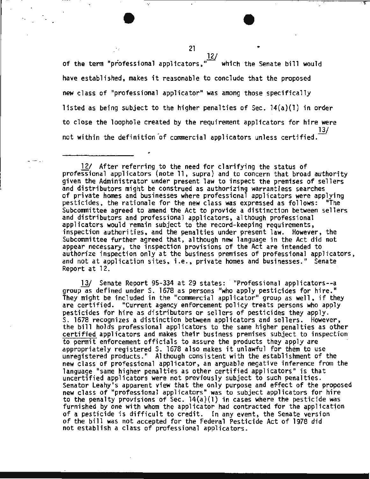of the term "professional applicators,",which the Senate bill would have established, makes it reasonable to conclude that the proposed new class of "professional applicator" was among those specifically listed as being subject to the higher penalties of Sec.  $14(a)(1)$  in order to close the loophole created by the requirement applicators for hire were not within the definition of commercial applicators unless certified.

I

·.

12/ After referring to the need for clarifying the status of professional applicators (note 11, supra) and to concern that broad authority given the Administrator under present law to inspect the premises of sellers and distributors might be construed as authorizing warrantless searches<br>of private homes and businesses where professional applicators were applying pesticides, the rationale for the new class was expressed as follows: "The Subcommittee agreed to amend the Act to provide a distinction between sellers and distributors and professional applicators, although professional applicators would remain subject to the record-keeping requirements, inspection authorities, and the penalties under present law. However, the Subcommittee further agreed that, although new language in the Act did not appear necessary, the inspection provisions of the Act are intended to authorize inspection only at the business premises of professional applicators, and not at application sites, i.e., private homes and businesses." Senate Report at 12.

13/ Senate Report 95-334 at 29 states: "Professional applicators--a group as defined under S. 1678 as persons "who apply pesticides for hire."<br>They might be included in the "commercial applicator" group as well, if they are certified. "Current agency enforcement policy treats persons who apply<br>pesticides for hire as distributors or sellers of pesticides they apply. S. 1678 recognizes a distinction between applicators and sellers. However, the bill holds professional applicators to the same higher penalties as other certified applicators and makes their business premises subject to inspection to permit enforcement officials to assure the products they apply are appropriately registered S. 1678 also makes it unlawful for them to use unregistered products." Although consistent with the establishment of the new class of professional applicator, an arguable negative inference from the language "same higher penalties as other certified applicators" is that uncertified applicators were not previously subject to such penalties. Senator Leahy's apparent view that the only purpose and effect of the proposed new class of "professtonal applicators" was to subject applicators for hire to the penalty provisions of Sec.  $14(a)(1)$  in cases where the pesticide was furnished by one with whom the applicator had contracted for the application of a pesticide is difficult to credit. In any event, the Senate version of the bill was not accepted for the Federal Pesticide Act of 1978 did not establish a class of professional applicators.

21

12/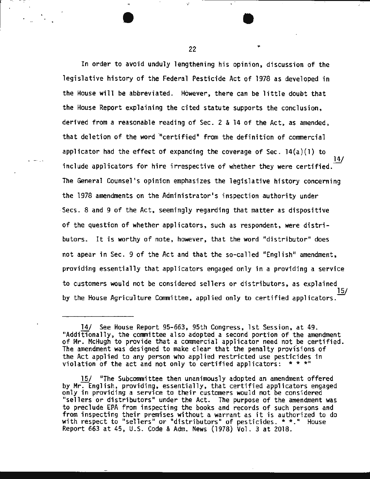In order to avoid unduly lengthening his opinion, discussion of the legislative history of the Federal Pesticide Act of 1978 as developed in the House will be abbreviated. However, there can be little doubt that the House Report explaining the cited statute supports the conclusion, derived from a reasonable reading of Sec. 2 & 14 of the Act, as amended, that deletion of the word "certified" from the definition of commercial applicator had the effect of expanding the coverage of Sec.  $14(a)(1)$  to 14/ include applicators for hire irrespective of whether they were certified. The General Counsel's opinion emphasizes the legislative history concerning the 1978 amendments on the Administrator's inspection authority under Secs. 8 and 9 of the Act, seemingly regarding that matter as dispositive of the question of whether applicators, such as respondent, were distributors. It is worthy of note, however, that the word "distributor" does not apear in Sec. 9 of the Act and that the so-called "English" amendment, providing essentially that applicators engaged only in a providing a service to customers would not be considered sellers or distributors, as explained 15/ by the House Agriculture Committee, applied only to certified applicators.

22

.,

<sup>14/</sup> See House Report 95-663, 95th Congress, lst Session, at 49. "Additionally, the committee also adopted a second portion of the amendment of Mr. McHugh to provide that a commercial applicator need not be certified. The amendment was designed to make clear that the penalty provisions of the Act applied to any person who applied restricted use pesticides in violation of the act and not only to certified applicators: \* \* \*"

<sup>15/ &</sup>quot;The Subcommittee then unanimously adopted an amendment offered<br>by Mr. English, providing, essentially, that certified applicators engaged only in providing a service to their customers would not be considered "sellers or distributors" under the Act. The purpose of the amendment was to preclude EPA from inspecting the books and records of such persons and from inspecting their premises without a warrant as it is authorized to do with respect to "sellers" or "distributors" of pesticides. \* \*." House Report 663 at 45, U.S. Code & Adm. News (1978) Vol. 3 at 2018.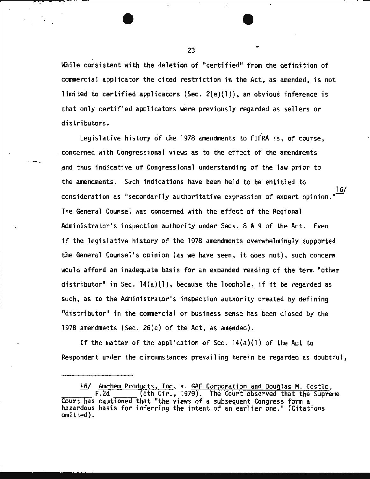While consistent with the deletion of "certified" from the definition of commercial applicator the cited restriction in the Act, as amended, is not limited to certified applicators (Sec.  $2(e)(1)$ ), an obvious inference is that only certified applicators were previously regarded as sellers or distributors.

Legislative history of the 1978 amendments to FIFRA is, of course, . concerned with Congressional views as to the effect of the amendments and thus indicative of Congressional understanding of the law prior to the amendments. Such indications have been held to be entitled to 16/ consideration as "secondarily authoritative expression of expert opinion. The General Counsel was concerned with the effect of the Regional Administrator's inspection authority under Secs. 8 & 9 of the Act. Even if the legislative history of the 1978 amendments overwhelmingly supported the General Counsel's opinion (as we have seen, it does not), such concern would afford an inadequate basis for an expanded reading of the term "other distributor" in Sec.  $14(a)(1)$ , because the loophole, if it be regarded as such, as to the Administrator's inspection authority created by defining "distributor" in the commercial or business sense has been closed by the 1978 amendments (Sec. 26(c) of the Act, as amended).

If the matter of the application of Sec.  $14(a)(1)$  of the Act to Respondent under the circumstances prevailing herein be regarded as doubtful,

16/ Amchem Products, Inc, v. GAF Corporation and Douglas M. Costle, F.2d (5th Cir., 1979). The Court observed that the Supreme<br>Court has cautioned that "the views of a subsequent Congress form a Court has cautioned that "the views of a subsequent Congress form a<br>hazardous basis for inferring the intent of an earlier one." (Citations<br>omitted).

23

. ·': *...* .-.. · . .,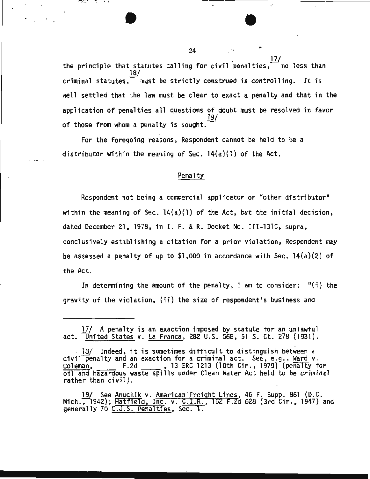24  $\frac{17}{1}$ the principle that statutes calling for civil penalties,  $\overline{\phantom{x}}$  no less than 18/ criminal statutes,  $\overline{\phantom{a}}$  must be strictly construed is controlling. It is well settled that the law must be clear to exact a penalty and that in the application of penalties all questions of doubt must be resolved in favor 19/ of those from whom a penalty is sought.

For the foregoing reasons, Respondent cannot be held to be a distributor within the meaning of Sec.  $14(a)(1)$  of the Act.

#### Penalty

Respondent not being a commercial applicator or "other distributor" within the meaning of Sec. 14(a)(l) of the Act, but the initial decision, dated December 21, 1978, in I. F. & R. Docket No. III-131C, supra, conclusively establishing a citation for a prior violation, Respondent may be assessed a penalty of up to \$1,000 in accordance with Sec. 14(a)(2) of the Act.

In determining the amount of the penalty, I am to consider:  $"(i)$  the gravity of the violation, (ii) the size of respondent's business and

19/ See Anuchik v. American Freight Lines, 46 F. Supp. 861 (D.C.<br>Mich., 1942); Hatfield, Inc. v. C.I.R., 162 F.2d 628 (3rd Cir., 1947) and generally 70 C.J.S. Penalties, Sec. 1.

-750

·;

<sup>17/</sup> A penalty is an exaction imposed by statute for an unlawful act. United States v. La Franca, 282 U.S. 568, 51 S. Ct. 278 (1931).

<sup>. 18/</sup> Indeed, it is sometimes difficult to distinguish between a civil penalty and an exaction for a criminal act. See, e.g., Ward v. Coleman, F.2d , 13 ERC 1213 (lOth Cir., 1979) (penalty for oil and hazardous waste spills under Clean Water Act held to be criminal rather than civil).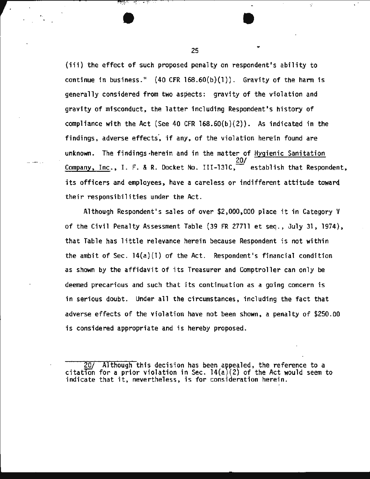(iii) the effect of such proposed penalty on respondent's ability to continue in business."  $(40 \text{ CFR } 168.60(b)(1))$ . Gravity of the harm is generally considered from two aspects: gravity of the violation and gravity of misconduct, the latter including Respondent's history of compliance with the Act (See 40 CFR l68.60(b)(2)). As indicated in the findings, adverse effects, if any, of the violation herein found are unknown. The findings,herein and in the matter of Hygienic Sanitation 20/ Company, Inc., I. F. & R. Docket No. III-131C, establish that Respondent, its officers and employees, have a careless or indifferent attitude toward their responsibilities under the Act.

Although Respondent's sales of over \$2,000,000 place it in Category V of the Civil Penalty Assessment Table (39 FR 27711 et seq., July 31, 1974), that Table has little relevance herein because Respondent is not within the ambit of Sec. 14(a)(l) of the Act. Respondent's financial condition as shown by the affidavit of its Treasurer and Comptroller can only be deemed precarious and such that its continuation as a going concern is in serious doubt. Under all the circumstances, including the fact that adverse effects of the violation have not been shown, a penalty of \$250.00 is considered appropriate and is hereby proposed.

20/ Although this decision has been appealed, the reference to a citation for a prior violation in Sec.  $14(a)(2)$  of the Act would seem to indicate that it, nevertheless, is for consideration herein.

25